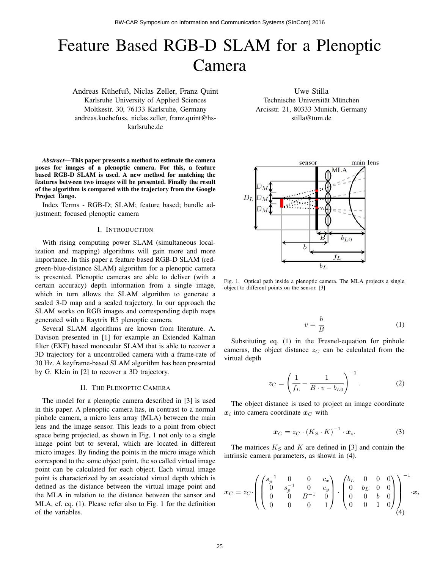# Feature Based RGB-D SLAM for a Plenoptic Camera

Andreas Kuhefuß, Niclas Zeller, Franz Quint ¨ Karlsruhe University of Applied Sciences Moltkestr. 30, 76133 Karlsruhe, Germany andreas.kuehefuss, niclas.zeller, franz.quint@hskarlsruhe.de

*Abstract*—This paper presents a method to estimate the camera poses for images of a plenoptic camera. For this, a feature based RGB-D SLAM is used. A new method for matching the features between two images will be presented. Finally the result of the algorithm is compared with the trajectory from the Google Project Tango.

Index Terms - RGB-D; SLAM; feature based; bundle adjustment; focused plenoptic camera

# I. INTRODUCTION

With rising computing power SLAM (simultaneous localization and mapping) algorithms will gain more and more importance. In this paper a feature based RGB-D SLAM (redgreen-blue-distance SLAM) algorithm for a plenoptic camera is presented. Plenoptic cameras are able to deliver (with a certain accuracy) depth information from a single image, which in turn allows the SLAM algorithm to generate a scaled 3-D map and a scaled trajectory. In our approach the SLAM works on RGB images and corresponding depth maps generated with a Raytrix R5 plenoptic camera.

Several SLAM algorithms are known from literature. A. Davison presented in [1] for example an Extended Kalman filter (EKF) based monocular SLAM that is able to recover a 3D trajectory for a uncontrolled camera with a frame-rate of 30 Hz. A keyframe-based SLAM algorithm has been presented by G. Klein in [2] to recover a 3D trajectory.

## II. THE PLENOPTIC CAMERA

The model for a plenoptic camera described in [3] is used in this paper. A plenoptic camera has, in contrast to a normal pinhole camera, a micro lens array (MLA) between the main lens and the image sensor. This leads to a point from object space being projected, as shown in Fig. 1 not only to a single image point but to several, which are located in different micro images. By finding the points in the micro image which correspond to the same object point, the so called virtual image point can be calculated for each object. Each virtual image point is characterized by an associated virtual depth which is defined as the distance between the virtual image point and the MLA in relation to the distance between the sensor and MLA, cf. eq. (1). Please refer also to Fig. 1 for the definition of the variables.

Uwe Stilla Technische Universität München Arcisstr. 21, 80333 Munich, Germany stilla@tum.de



Fig. 1. Optical path inside a plenoptic camera. The MLA projects a single object to different points on the sensor. [3]

$$
v = \frac{b}{B} \tag{1}
$$

Substituting eq. (1) in the Fresnel-equation for pinhole cameras, the object distance  $z<sub>C</sub>$  can be calculated from the virtual depth

$$
z_C = \left(\frac{1}{f_L} - \frac{1}{B \cdot v - b_{L0}}\right)^{-1}.
$$
 (2)

The object distance is used to project an image coordinate  $x_i$  into camera coordinate  $x_C$  with

$$
\boldsymbol{x}_C = z_C \cdot (K_S \cdot K)^{-1} \cdot \boldsymbol{x}_i. \tag{3}
$$

The matrices  $K<sub>S</sub>$  and K are defined in [3] and contain the intrinsic camera parameters, as shown in (4).

$$
\boldsymbol{x}_C = z_C \cdot \left( \begin{pmatrix} s_p^{-1} & 0 & 0 & c_x \\ 0 & s_p^{-1} & 0 & c_y \\ 0 & 0 & B^{-1} & 0 \\ 0 & 0 & 0 & 1 \end{pmatrix} \cdot \begin{pmatrix} b_L & 0 & 0 & 0 \\ 0 & b_L & 0 & 0 \\ 0 & 0 & b & 0 \\ 0 & 0 & 1 & 0 \end{pmatrix} \right)^{-1} \cdot \boldsymbol{x}_i
$$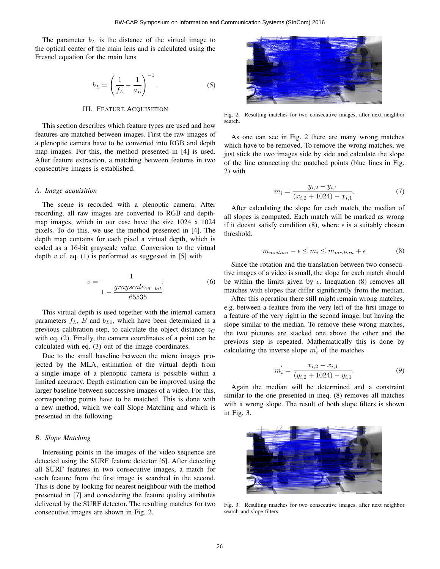The parameter  $b<sub>L</sub>$  is the distance of the virtual image to the optical center of the main lens and is calculated using the Fresnel equation for the main lens

$$
b_L = \left(\frac{1}{f_L} - \frac{1}{a_L}\right)^{-1}.\tag{5}
$$

#### III. FEATURE ACQUISITION

This section describes which feature types are used and how features are matched between images. First the raw images of a plenoptic camera have to be converted into RGB and depth map images. For this, the method presented in [4] is used. After feature extraction, a matching between features in two consecutive images is established.

#### *A. Image acquisition*

The scene is recorded with a plenoptic camera. After recording, all raw images are converted to RGB and depthmap images, which in our case have the size 1024 x 1024 pixels. To do this, we use the method presented in [4]. The depth map contains for each pixel a virtual depth, which is coded as a 16-bit grayscale value. Conversion to the virtual depth  $v$  cf. eq. (1) is performed as suggested in [5] with

$$
v = \frac{1}{1 - \frac{grayscale_{16-bit}}{65535}}.
$$
 (6)

This virtual depth is used together with the internal camera parameters  $f_L$ , B and  $b_{L0}$ , which have been determined in a previous calibration step, to calculate the object distance  $z<sub>C</sub>$ with eq. (2). Finally, the camera coordinates of a point can be calculated with eq. (3) out of the image coordinates.

Due to the small baseline between the micro images projected by the MLA, estimation of the virtual depth from a single image of a plenoptic camera is possible within a limited accuracy. Depth estimation can be improved using the larger baseline between successive images of a video. For this, corresponding points have to be matched. This is done with a new method, which we call Slope Matching and which is presented in the following.

# *B. Slope Matching*

Interesting points in the images of the video sequence are detected using the SURF feature detector [6]. After detecting all SURF features in two consecutive images, a match for each feature from the first image is searched in the second. This is done by looking for nearest neighbour with the method presented in [7] and considering the feature quality attributes delivered by the SURF detector. The resulting matches for two consecutive images are shown in Fig. 2.



Fig. 2. Resulting matches for two consecutive images, after next neighbor search.

As one can see in Fig. 2 there are many wrong matches which have to be removed. To remove the wrong matches, we just stick the two images side by side and calculate the slope of the line connecting the matched points (blue lines in Fig. 2) with

$$
m_i = \frac{y_{i,2} - y_{i,1}}{(x_{i,2} + 1024) - x_{i,1}}.\tag{7}
$$

After calculating the slope for each match, the median of all slopes is computed. Each match will be marked as wrong if it doesnt satisfy condition (8), where  $\epsilon$  is a suitably chosen threshold.

$$
m_{median} - \epsilon \le m_i \le m_{median} + \epsilon \tag{8}
$$

Since the rotation and the translation between two consecutive images of a video is small, the slope for each match should be within the limits given by  $\epsilon$ . Inequation (8) removes all matches with slopes that differ significantly from the median.

After this operation there still might remain wrong matches, e.g. between a feature from the very left of the first image to a feature of the very right in the second image, but having the slope similar to the median. To remove these wrong matches, the two pictures are stacked one above the other and the previous step is repeated. Mathematically this is done by calculating the inverse slope  $m'_i$  of the matches

$$
m_i' = \frac{x_{i,2} - x_{i,1}}{(y_{i,2} + 1024) - y_{i,1}}.
$$
\n(9)

Again the median will be determined and a constraint similar to the one presented in ineq. (8) removes all matches with a wrong slope. The result of both slope filters is shown in Fig. 3.



Fig. 3. Resulting matches for two consecutive images, after next neighbor search and slope filters.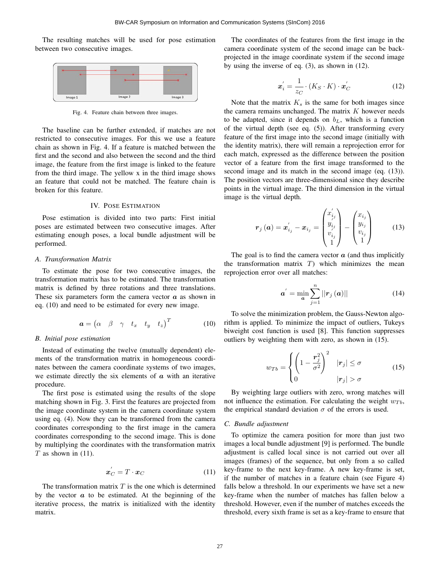The resulting matches will be used for pose estimation between two consecutive images.



Fig. 4. Feature chain between three images.

The baseline can be further extended, if matches are not restricted to consecutive images. For this we use a feature chain as shown in Fig. 4. If a feature is matched between the first and the second and also between the second and the third image, the feature from the first image is linked to the feature from the third image. The yellow x in the third image shows an feature that could not be matched. The feature chain is broken for this feature.

# IV. POSE ESTIMATION

Pose estimation is divided into two parts: First initial poses are estimated between two consecutive images. After estimating enough poses, a local bundle adjustment will be performed.

#### *A. Transformation Matrix*

To estimate the pose for two consecutive images, the transformation matrix has to be estimated. The transformation matrix is defined by three rotations and three translations. These six parameters form the camera vector  $\alpha$  as shown in eq. (10) and need to be estimated for every new image.

$$
\boldsymbol{a} = \begin{pmatrix} \alpha & \beta & \gamma & t_x & t_y & t_z \end{pmatrix}^T \tag{10}
$$

#### *B. Initial pose estimation*

Instead of estimating the twelve (mutually dependent) elements of the transformation matrix in homogeneous coordinates between the camera coordinate systems of two images, we estimate directly the six elements of  $\alpha$  with an iterative procedure.

The first pose is estimated using the results of the slope matching shown in Fig. 3. First the features are projected from the image coordinate system in the camera coordinate system using eq. (4). Now they can be transformed from the camera coordinates corresponding to the first image in the camera coordinates corresponding to the second image. This is done by multiplying the coordinates with the transformation matrix  $T$  as shown in (11).

$$
\boldsymbol{x}'_C = T \cdot \boldsymbol{x}_C \tag{11}
$$

The transformation matrix  $T$  is the one which is determined by the vector  $\alpha$  to be estimated. At the beginning of the iterative process, the matrix is initialized with the identity matrix.

The coordinates of the features from the first image in the camera coordinate system of the second image can be backprojected in the image coordinate system if the second image by using the inverse of eq. (3), as shown in (12).

$$
\boldsymbol{x}_{i}^{'} = \frac{1}{z_{C}} \cdot (K_{S} \cdot K) \cdot \boldsymbol{x}_{C}^{'}
$$
 (12)

Note that the matrix  $K_s$  is the same for both images since the camera remains unchanged. The matrix  $K$  however needs to be adapted, since it depends on  $b<sub>L</sub>$ , which is a function of the virtual depth (see eq. (5)). After transforming every feature of the first image into the second image (initially with the identity matrix), there will remain a reprojection error for each match, expressed as the difference between the position vector of a feature from the first image transformed to the second image and its match in the second image (eq.  $(13)$ ). The position vectors are three-dimensional since they describe points in the virtual image. The third dimension in the virtual image is the virtual depth.

$$
\boldsymbol{r}_{j}\left(\boldsymbol{a}\right)=\boldsymbol{x}_{i_{j}}^{'}-\boldsymbol{x}_{i_{j}}=\begin{pmatrix}x_{i_{j}}^{'}\\y_{i_{j}}^{'}\\v_{i_{j}}^{'}\\1\end{pmatrix}-\begin{pmatrix}x_{i_{j}}\\y_{i_{j}}\\v_{i_{j}}\\1\end{pmatrix}
$$
(13)

The goal is to find the camera vector  $\alpha$  (and thus implicitly the transformation matrix  $T$ ) which minimizes the mean reprojection error over all matches:

$$
\boldsymbol{a}' = \min_{\boldsymbol{a}} \sum_{j=1}^{n} ||\boldsymbol{r}_j(\boldsymbol{a})|| \tag{14}
$$

To solve the minimization problem, the Gauss-Newton algorithm is applied. To minimize the impact of outliers, Tukeys biweight cost function is used [8]. This function suppresses outliers by weighting them with zero, as shown in (15).

$$
w_{Tb} = \begin{cases} \left(1 - \frac{r_j^2}{\sigma^2}\right)^2 & |r_j| \le \sigma\\ 0 & |r_j| > \sigma \end{cases} \tag{15}
$$

By weighting large outliers with zero, wrong matches will not influence the estimation. For calculating the weight  $w_{T_b}$ , the empirical standard deviation  $\sigma$  of the errors is used.

# *C. Bundle adjustment*

To optimize the camera position for more than just two images a local bundle adjustment [9] is performed. The bundle adjustment is called local since is not carried out over all images (frames) of the sequence, but only from a so called key-frame to the next key-frame. A new key-frame is set, if the number of matches in a feature chain (see Figure 4) falls below a threshold. In our experiments we have set a new key-frame when the number of matches has fallen below a threshold. However, even if the number of matches exceeds the threshold, every sixth frame is set as a key-frame to ensure that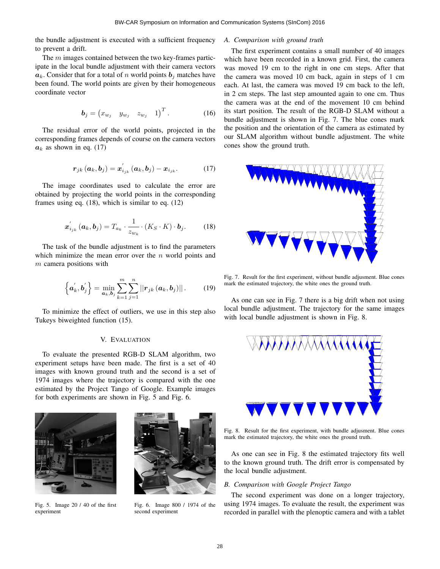the bundle adjustment is executed with a sufficient frequency to prevent a drift.

The  $m$  images contained between the two key-frames participate in the local bundle adjustment with their camera vectors  $a_k$ . Consider that for a total of n world points  $b_i$  matches have been found. The world points are given by their homogeneous coordinate vector

$$
\boldsymbol{b}_{j} = \begin{pmatrix} x_{w_j} & y_{w_j} & z_{w_j} & 1 \end{pmatrix}^T. \tag{16}
$$

The residual error of the world points, projected in the corresponding frames depends of course on the camera vectors  $a_k$  as shown in eq. (17)

$$
\boldsymbol{r}_{jk}(\boldsymbol{a}_k, \boldsymbol{b}_j) = \boldsymbol{x}_{i_{jk}}'(\boldsymbol{a}_k, \boldsymbol{b}_j) - \boldsymbol{x}_{i_{jk}}.
$$
 (17)

The image coordinates used to calculate the error are obtained by projecting the world points in the corresponding frames using eq. (18), which is similar to eq. (12)

$$
\boldsymbol{x}_{i_{jk}}^{'}\left(\boldsymbol{a}_{k},\boldsymbol{b}_{j}\right)=T_{a_{k}}\cdot\frac{1}{z_{w_{k}}}\cdot\left(K_{S}\cdot K\right)\cdot\boldsymbol{b}_{j}.\tag{18}
$$

The task of the bundle adjustment is to find the parameters which minimize the mean error over the  $n$  world points and  $m$  camera positions with

$$
\left\{\boldsymbol{a}_{k}^{\prime},\boldsymbol{b}_{j}^{\prime}\right\}=\min_{\boldsymbol{a}_{k},\boldsymbol{b}_{j}}\sum_{k=1}^{m}\sum_{j=1}^{n}||\boldsymbol{r}_{jk}\left(\boldsymbol{a}_{k},\boldsymbol{b}_{j}\right)||. \qquad (19)
$$

To minimize the effect of outliers, we use in this step also Tukeys biweighted function (15).

# V. EVALUATION

To evaluate the presented RGB-D SLAM algorithm, two experiment setups have been made. The first is a set of 40 images with known ground truth and the second is a set of 1974 images where the trajectory is compared with the one estimated by the Project Tango of Google. Example images for both experiments are shown in Fig. 5 and Fig. 6.



Fig. 5. Image 20 / 40 of the first experiment



Fig. 6. Image 800 / 1974 of the second experiment

# *A. Comparison with ground truth*

The first experiment contains a small number of 40 images which have been recorded in a known grid. First, the camera was moved 19 cm to the right in one cm steps. After that the camera was moved 10 cm back, again in steps of 1 cm each. At last, the camera was moved 19 cm back to the left, in 2 cm steps. The last step amounted again to one cm. Thus the camera was at the end of the movement 10 cm behind its start position. The result of the RGB-D SLAM without a bundle adjustment is shown in Fig. 7. The blue cones mark the position and the orientation of the camera as estimated by our SLAM algorithm without bundle adjustment. The white cones show the ground truth.



Fig. 7. Result for the first experiment, without bundle adjusment. Blue cones mark the estimated trajectory, the white ones the ground truth.

As one can see in Fig. 7 there is a big drift when not using local bundle adjustment. The trajectory for the same images with local bundle adjustment is shown in Fig. 8.



Fig. 8. Result for the first experiment, with bundle adjusment. Blue cones mark the estimated trajectory, the white ones the ground truth.

As one can see in Fig. 8 the estimated trajectory fits well to the known ground truth. The drift error is compensated by the local bundle adjustment.

# *B. Comparison with Google Project Tango*

The second experiment was done on a longer trajectory, using 1974 images. To evaluate the result, the experiment was recorded in parallel with the plenoptic camera and with a tablet